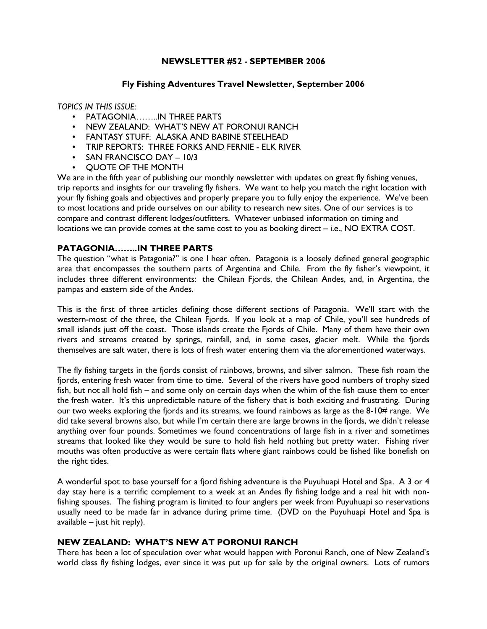# NEWSLETTER #52 - SEPTEMBER 2006

#### Fly Fishing Adventures Travel Newsletter, September 2006

#### TOPICS IN THIS ISSUE:

- PATAGONIA……..IN THREE PARTS
- NEW ZEALAND: WHAT'S NEW AT PORONUI RANCH
- FANTASY STUFF: ALASKA AND BABINE STEELHEAD
- TRIP REPORTS: THREE FORKS AND FERNIE ELK RIVER
- SAN FRANCISCO DAY 10/3
- QUOTE OF THE MONTH

We are in the fifth year of publishing our monthly newsletter with updates on great fly fishing venues, trip reports and insights for our traveling fly fishers. We want to help you match the right location with your fly fishing goals and objectives and properly prepare you to fully enjoy the experience. We've been to most locations and pride ourselves on our ability to research new sites. One of our services is to compare and contrast different lodges/outfitters. Whatever unbiased information on timing and locations we can provide comes at the same cost to you as booking direct – i.e., NO EXTRA COST.

# PATAGONIA……..IN THREE PARTS

The question "what is Patagonia?" is one I hear often. Patagonia is a loosely defined general geographic area that encompasses the southern parts of Argentina and Chile. From the fly fisher's viewpoint, it includes three different environments: the Chilean Fjords, the Chilean Andes, and, in Argentina, the pampas and eastern side of the Andes.

This is the first of three articles defining those different sections of Patagonia. We'll start with the western-most of the three, the Chilean Fjords. If you look at a map of Chile, you'll see hundreds of small islands just off the coast. Those islands create the Fjords of Chile. Many of them have their own rivers and streams created by springs, rainfall, and, in some cases, glacier melt. While the fjords themselves are salt water, there is lots of fresh water entering them via the aforementioned waterways.

The fly fishing targets in the fjords consist of rainbows, browns, and silver salmon. These fish roam the fjords, entering fresh water from time to time. Several of the rivers have good numbers of trophy sized fish, but not all hold fish – and some only on certain days when the whim of the fish cause them to enter the fresh water. It's this unpredictable nature of the fishery that is both exciting and frustrating. During our two weeks exploring the fjords and its streams, we found rainbows as large as the 8-10# range. We did take several browns also, but while I'm certain there are large browns in the fjords, we didn't release anything over four pounds. Sometimes we found concentrations of large fish in a river and sometimes streams that looked like they would be sure to hold fish held nothing but pretty water. Fishing river mouths was often productive as were certain flats where giant rainbows could be fished like bonefish on the right tides.

A wonderful spot to base yourself for a fjord fishing adventure is the Puyuhuapi Hotel and Spa. A 3 or 4 day stay here is a terrific complement to a week at an Andes fly fishing lodge and a real hit with nonfishing spouses. The fishing program is limited to four anglers per week from Puyuhuapi so reservations usually need to be made far in advance during prime time. (DVD on the Puyuhuapi Hotel and Spa is available – just hit reply).

## NEW ZEALAND: WHAT'S NEW AT PORONUI RANCH

There has been a lot of speculation over what would happen with Poronui Ranch, one of New Zealand's world class fly fishing lodges, ever since it was put up for sale by the original owners. Lots of rumors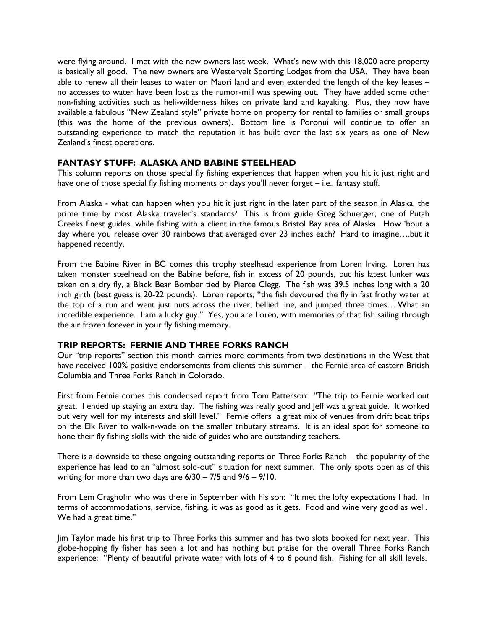were flying around. I met with the new owners last week. What's new with this 18,000 acre property is basically all good. The new owners are Westervelt Sporting Lodges from the USA. They have been able to renew all their leases to water on Maori land and even extended the length of the key leases – no accesses to water have been lost as the rumor-mill was spewing out. They have added some other non-fishing activities such as heli-wilderness hikes on private land and kayaking. Plus, they now have available a fabulous "New Zealand style" private home on property for rental to families or small groups (this was the home of the previous owners). Bottom line is Poronui will continue to offer an outstanding experience to match the reputation it has built over the last six years as one of New Zealand's finest operations.

## FANTASY STUFF: ALASKA AND BABINE STEELHEAD

This column reports on those special fly fishing experiences that happen when you hit it just right and have one of those special fly fishing moments or days you'll never forget – i.e., fantasy stuff.

From Alaska - what can happen when you hit it just right in the later part of the season in Alaska, the prime time by most Alaska traveler's standards? This is from guide Greg Schuerger, one of Putah Creeks finest guides, while fishing with a client in the famous Bristol Bay area of Alaska. How 'bout a day where you release over 30 rainbows that averaged over 23 inches each? Hard to imagine….but it happened recently.

From the Babine River in BC comes this trophy steelhead experience from Loren Irving. Loren has taken monster steelhead on the Babine before, fish in excess of 20 pounds, but his latest lunker was taken on a dry fly, a Black Bear Bomber tied by Pierce Clegg. The fish was 39.5 inches long with a 20 inch girth (best guess is 20-22 pounds). Loren reports, "the fish devoured the fly in fast frothy water at the top of a run and went just nuts across the river, bellied line, and jumped three times….What an incredible experience. I am a lucky guy." Yes, you are Loren, with memories of that fish sailing through the air frozen forever in your fly fishing memory.

## TRIP REPORTS: FERNIE AND THREE FORKS RANCH

Our "trip reports" section this month carries more comments from two destinations in the West that have received 100% positive endorsements from clients this summer – the Fernie area of eastern British Columbia and Three Forks Ranch in Colorado.

First from Fernie comes this condensed report from Tom Patterson: "The trip to Fernie worked out great. I ended up staying an extra day. The fishing was really good and Jeff was a great guide. It worked out very well for my interests and skill level." Fernie offers a great mix of venues from drift boat trips on the Elk River to walk-n-wade on the smaller tributary streams. It is an ideal spot for someone to hone their fly fishing skills with the aide of guides who are outstanding teachers.

There is a downside to these ongoing outstanding reports on Three Forks Ranch – the popularity of the experience has lead to an "almost sold-out" situation for next summer. The only spots open as of this writing for more than two days are 6/30 – 7/5 and 9/6 – 9/10.

From Lem Cragholm who was there in September with his son: "It met the lofty expectations I had. In terms of accommodations, service, fishing, it was as good as it gets. Food and wine very good as well. We had a great time."

Jim Taylor made his first trip to Three Forks this summer and has two slots booked for next year. This globe-hopping fly fisher has seen a lot and has nothing but praise for the overall Three Forks Ranch experience: "Plenty of beautiful private water with lots of 4 to 6 pound fish. Fishing for all skill levels.